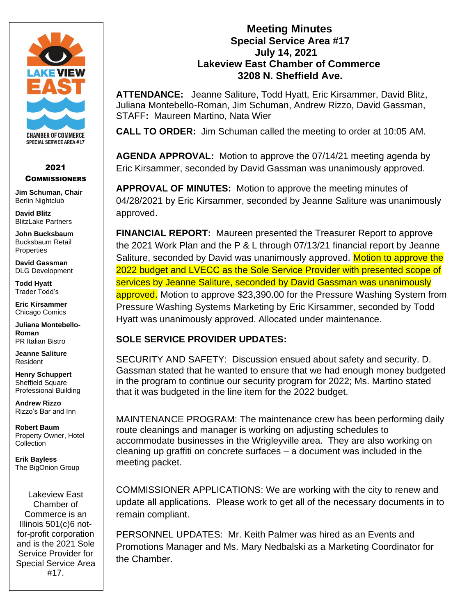

#### 2021 **COMMISSIONERS**

**Jim Schuman, Chair** Berlin Nightclub

**David Blitz** BlitzLake Partners

**John Bucksbaum** Bucksbaum Retail **Properties** 

**David Gassman** DLG Development

**Todd Hyatt** Trader Todd's

**Eric Kirsammer** Chicago Comics

**Juliana Montebello-Roman** PR Italian Bistro

**Jeanne Saliture** Resident

**Henry Schuppert** Sheffield Square Professional Building

**Andrew Rizzo** Rizzo's Bar and Inn

**Robert Baum** Property Owner, Hotel **Collection** 

**Erik Bayless** The BigOnion Group

Lakeview East Chamber of Commerce is an Illinois 501(c)6 notfor-profit corporation and is the 2021 Sole Service Provider for Special Service Area #17.

## **Meeting Minutes Special Service Area #17 July 14, 2021 Lakeview East Chamber of Commerce 3208 N. Sheffield Ave.**

**ATTENDANCE:** Jeanne Saliture, Todd Hyatt, Eric Kirsammer, David Blitz, Juliana Montebello-Roman, Jim Schuman, Andrew Rizzo, David Gassman, STAFF**:** Maureen Martino, Nata Wier

**CALL TO ORDER:** Jim Schuman called the meeting to order at 10:05 AM.

**AGENDA APPROVAL:** Motion to approve the 07/14/21 meeting agenda by Eric Kirsammer, seconded by David Gassman was unanimously approved.

**APPROVAL OF MINUTES:** Motion to approve the meeting minutes of 04/28/2021 by Eric Kirsammer, seconded by Jeanne Saliture was unanimously approved.

**FINANCIAL REPORT:** Maureen presented the Treasurer Report to approve the 2021 Work Plan and the P & L through 07/13/21 financial report by Jeanne Saliture, seconded by David was unanimously approved. Motion to approve the 2022 budget and LVECC as the Sole Service Provider with presented scope of services by Jeanne Saliture, seconded by David Gassman was unanimously approved. Motion to approve \$23,390.00 for the Pressure Washing System from Pressure Washing Systems Marketing by Eric Kirsammer, seconded by Todd Hyatt was unanimously approved. Allocated under maintenance.

# **SOLE SERVICE PROVIDER UPDATES:**

SECURITY AND SAFETY: Discussion ensued about safety and security. D. Gassman stated that he wanted to ensure that we had enough money budgeted in the program to continue our security program for 2022; Ms. Martino stated that it was budgeted in the line item for the 2022 budget.

MAINTENANCE PROGRAM: The maintenance crew has been performing daily route cleanings and manager is working on adjusting schedules to accommodate businesses in the Wrigleyville area. They are also working on cleaning up graffiti on concrete surfaces – a document was included in the meeting packet.

COMMISSIONER APPLICATIONS: We are working with the city to renew and update all applications. Please work to get all of the necessary documents in to remain compliant.

PERSONNEL UPDATES: Mr. Keith Palmer was hired as an Events and Promotions Manager and Ms. Mary Nedbalski as a Marketing Coordinator for the Chamber.